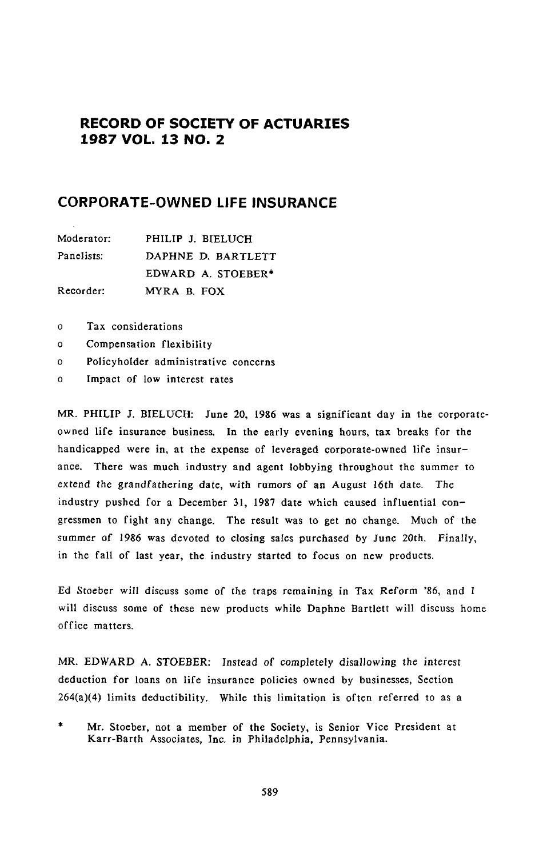# **RECORD OF SOCIETY OF ACTUARIES 1987 VOL. 13 NO. 2**

# **CORPORATE**-**OWNED LIFE INSURANCE**

| Moderator: | PHILIP J. BIELUCH  |  |
|------------|--------------------|--|
| Panelists: | DAPHNE D. BARTLETT |  |
|            | EDWARD A. STOEBER* |  |
| Recorder:  | MYRA B. FOX        |  |

- o Tax considerations
- o Compensation flexibility
- o Policyholder administrative concerns
- o Impact of low interest rates

M*R*. PHILIP J. BIELU*C*H: June *2*0, 1986 was a significant day in the corporateowned life insurance business. In the early evening hours, tax breaks for the handica**p**ped were in, at the ex**p**ense of leveraged corporate-owned life insurance. There was much industry and agent lobbying throughout the summer to ex*t*end the grandfathering date, with r*u*m*o*rs of an *A*ugus*t* 16th da*t*e. The industry pushed for a December 31, 1987 date which caused influential congressmen to fight any change. The result was to get no change. Much of the summer of 1986 was devoted to closing sales purchased by June 2*0*th. Finally, in the fall of last year, the industry started to focus on new products.

Ed S*t*oeber will discuss some of the traps remaining in Tax *R*eform '86, and I will discuss some of these new products while Daphne Bartlett will discuss home office matters.

MR. E*D*W*A*R*D A*. S*TO*E*B*ER: I*n*s*t*ead *o*f completely disallo*w*i*n*g the i*n*terest deduction for loans on life insurance policies owned by businesses, Section 264(a)(4) limits deductibility. While this limitation is often referred to as a

Mr. Stoeber, not a member of the Society, is Senior Vice President at Karr-Barth Associates, Inc. in Philadelphia, Pennsylvania.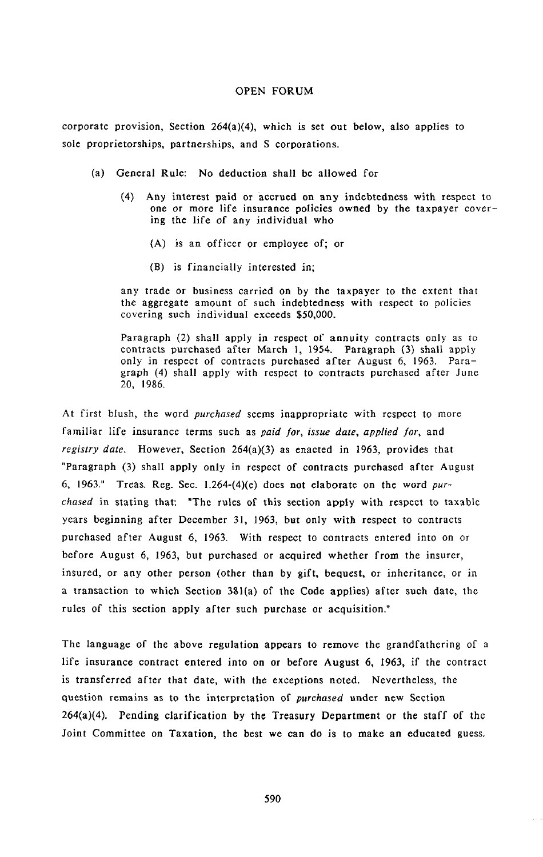cor**p**or**a**te **p**rovision, Section 2*6*4(a)(**4**), which is set out below, also **a**pplies to sole proprietorships, partnerships, and S corporations.

- (a) General Rule: No deduction shall be allowed for
	- (4) Any i**n**terest paid or accrued on any indebtedness with respect to one *o*r more life insurance policies owned by the taxpayer covering the life of any individual who
		- (A) is an officer or employee of; or
		- (B) is financially interested in;

any trade or business carried on by the taxpayer to the extent that the aggregate amount of such indebtedness with respect to policies covering such individual exceeds \$50,000.

Paragraph (2) shall apply in respect of annuity contracts only as to contracts purchased after March 1, 1954. Paragraph (3) shall apply only in respect of contracts purchased after *A*ugust 6, 1963. Paragraph (4) shall apply with respect to contracts purchased after June 20, 1986.

At first blush, the word *pu*r*chased* seems inappropriate with respect to more familiar life insurance terms such as *paid for*, *issue date*, *applied for*, and *registry date*. However, Section 264(a)(3) as enacted in 1963*,* provides that "Paragraph (3) shall apply only in respect of contracts purchased after August 6, 1963." Treas. Reg. Sec. 1.264-(4)(e) does not elaborate on the word *purchased* in stating that: "The rules of this section apply with respect to taxable years beginning after December 31, 1963, but *o*nly with respect to contracts purchased after August 6, 1963. With respect to contracts entered into on or before August 6, 1963, but purchased or acquired whether from the insurer*,* insured, or any other person (other than by gift, bequest, or inheritance, or in a transaction to which Section 381(a) of the Code applies) after such date, the rules of this section apply after such purchase or acquisition."

The language of the above regulation appears to remove the grandfathering of a life insurance contract entered into on or before August 6, 1963*,* if the contract is transferred after that date, with the exceptions noted. Nevertheless, the question remains as to the int**e**rpr**e**tation of *purchased* under new S**ec**tion 26*4*(a)(4). Pending clarification by th*e* Treasury *D*epartment or the staff of the Joint Committee on Taxation, the best we can do is to make an educated guess.

590

 $\cdots$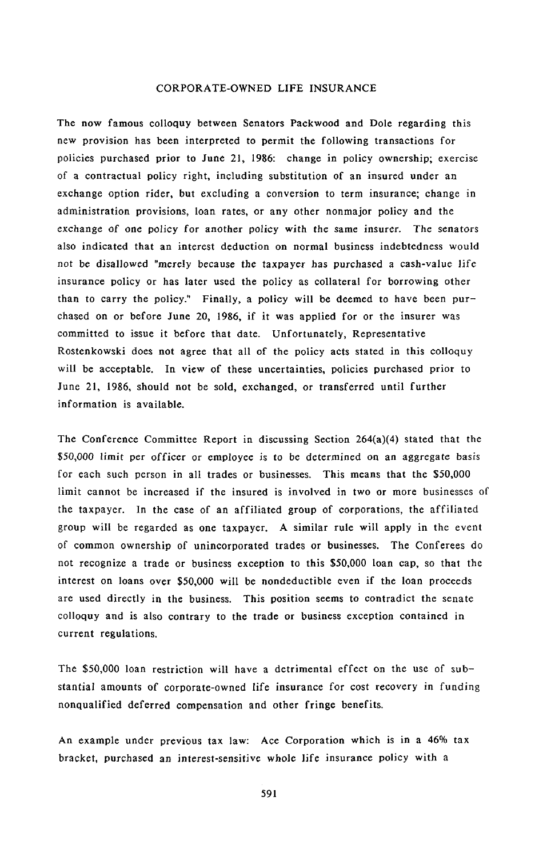The now famo**u**s colloquy between Senators Packwood a**n**d **D**ole regarding this new provision has been interpreted to permit the following transactions for poli*c*ies purchased prior to **J**une 21, 1986: change in policy ownership; exer*c*ise of a contractual **p**olicy right, including su*b*stitution of an insured under an exchange option rider, but excluding a conversion to term ins**ur**ance; change in administration provisions, loan rates, or any other nonmajor policy and the exchange of one **p**olic**y** f**o**r another **po**lic**y** wi*t*h the same insurer. The senators also indicated that an interest deduction on normal business indebtedness would not be disallowed "merely because the tax*p*ayer has **p**urchased a cash-value life insurance **p**olicy or has later used the **p**olicy as collateral for borrowing other than to carry the policy." Finally, a **p**olicy will be deemed to have been **p**urchased on or before June 20, 1986, if it was a**pp**lied for or the insurer was committed to issue it before that date. Unfortunately, Re**p**resentative Rostenkowski does not agree that all of the policy acts stated in this colloquy will be acce**p**table. In view of these uncertainties, **p**olicies **p**urchased prior to June 21, 1986, should not be sold, exchanged, or transferred until further information is available.

The Conference Committee Report in discussing Section 264(a)(4) stated that the \$50,*00*0 limit **p**er officer or em**p**loyee is to be determined on an aggregate basis for each such *p*erson in all trades or businesses. This means that the \$50,000 limit cannot be increased if the insured is involved in two or more businesses of the tax**p**ayer. In the case of an affiliated grou**p** of cor*p*orations, the affiliated grou*p* will be regarded as one tax**p**ayer. A similar rule will ap**p**ly in the event of common ownership of unincor*p*orated trades or businesses. The Conferees do not recognize a trade or business exce*p*tion to this \$50,000 loan cap, so that the interest on loans over \$50,000 will be nondeductible even if the loan *p*roceeds are used directly in the business. This **p**osition seems to contradict the senate colloquy and is also contrary to the trade or business exce**p**tion contained in current regulations.

The \$50,000 loan restriction will have a detrimental effect on the use of substantial amounts of cor**p**orate-owned life insurance for cost recovery in funding non**q**ualified deferred com**p**ensation and other fringe benefits.

An exam**p**le under **p**revious tax law: Ace Corporation which is in a 46% tax bracket, **p**urchased an i*n*teres*t*-sensitive whole life insurance **p**olicy with a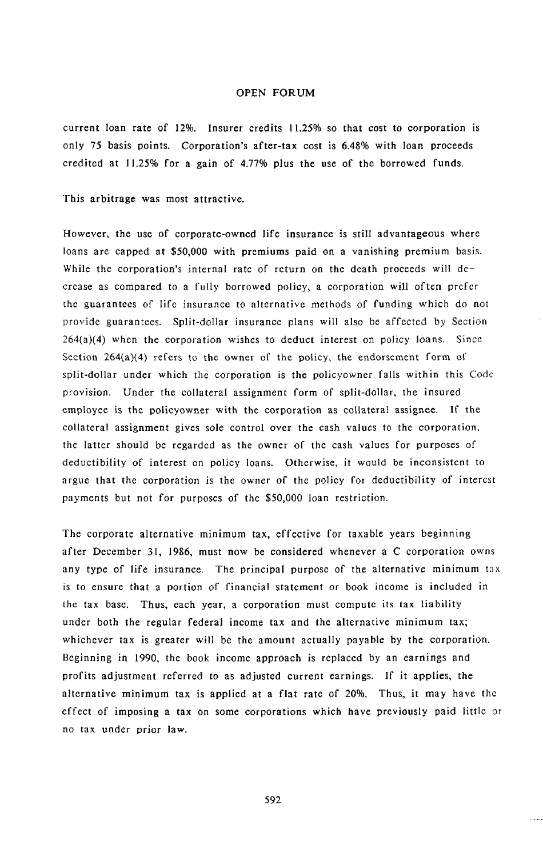current loan rate of 12%. Insurer credits 11.25% so tha**t** cost to corpora**t**ion is only 75 basis points. Corporation's after-tax cost is 6.48% with loan proceeds credited at 11.25% for a gain of 4.77% plus the use of the borrowed funds.

This arbitrage was most attractive.

However, **t**he use of corporate-owned life insurance is still advantageous where loans are capped at \$50,000 with premiums paid on a vanishing premium basis. While the corporation's internal rate of return on the death proceeds will decrease as compared to a fully borrowed policy, a corporation will often prefer the guarantees of life insurance to alternative methods Of funding which do not provide guarantees. Split-dollar insurance plans will also be affected by Section 264(a)(4) when the corporation wishes to deduct interest on policy loans. Sin*c*e Section  $264(a)(4)$  refers to the owner of the policy, the endorsement form of split-dollar under which the corporation is the policyowner falls within this Code provision. Under the collateral assignment form of split-dollar, the insured employee is the policyowner with the corporation as collateral assignee. If the collateral assignment gives sole control over the cash values to the corporation, the latter should be regarded as the owner of the cash values for purposes of deductibility of interest on policy loans. Otherwise*,* it would be inconsistent to argue that the corporation is the owner of the policy for deductibility of intercst payments but not for purposes of the \$50,000 loan restriction.

The corporate alternative minimum tax, effective for taxable years beginning after December 31, 1986, must now be considered whenever a C corporation owns any type of life insurance. The principal purpose of the alternative minimum tax is to ensure that a portion of financial statement or book income is included in the tax base. Thus, each year, a corporation must compute i*t*s tax liability under b*o*th the regular federal income tax and the alternative minimum tax; whichever tax is greater will be the amount actually payable by the corporation. Beginning in 1990, the book income approach is replaced by an earnings and profits adjustment referred to as adjusted current earnings. If it applies, the alternative minimum tax is applied at a flat rate of 20%. Thus, it may have the effect of imposing a tax on some corporations which have previously paid little or no tax under prior law.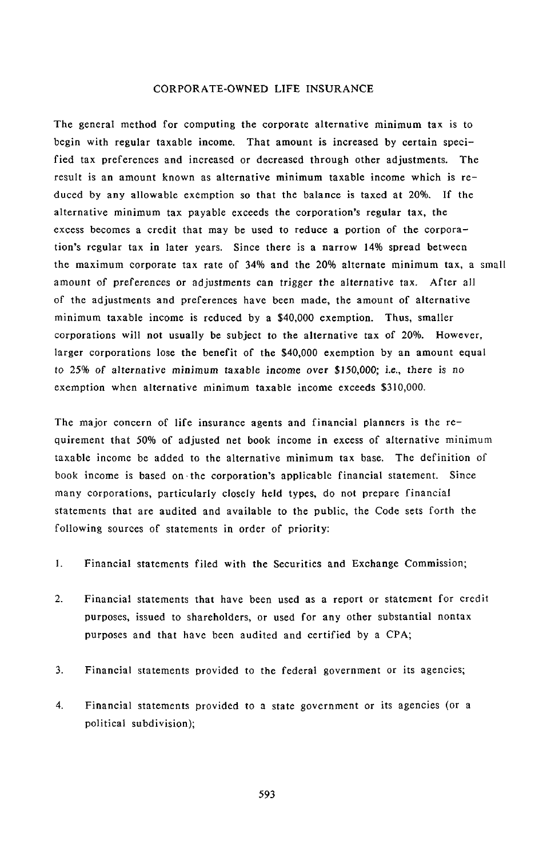The general method for computing the corporate alternative minimum tax is to begin with regular taxable income. That amount is increased by certain specified tax preferences and increased or decreased through other adjustments. The result is an amount known as alternative minimum taxable income which is reduced by any allowable exemption so that the balance is taxed at 20%. If the alternative minimum tax payable exceeds the corporation's regular tax, the excess becomes a credit that may be used to reduce a portion of the corporation's regular tax in later years. Since there is a narrow 14% spread between the maximum cor**p**orate tax rate of 34% and the 20% alternate minimum tax, a small amount of preferences or adjus**t**men**t**s can trigger the alternative tax. After all of the a**d**justments and preferences have been made, the amount of alternative minimum taxable income is reduced by a \$40,000 exemption. Thus, smaller corporations will not usually be subject **t**o the alternative tax of 20%. However*,* larger corporations lose the benefit of the \$40,000 exem**p**tion by an amount equal to 25% of alterna*t*i*v*e minimum taxable in*c*ome *o*ver \$150,0*0*0; i.e., there is n*o* exemption when alternative minimum taxable income exceeds \$310,000.

The major concern of life insurance agents and financial planners is the requirement that 50% of adjusted net book income in excess of alternative minimum taxable income be added to the alternative minimum tax base. The definition of book income is based on.the corporation's ap**p**licable financial statement. Since many corporations, **p**articularly closely held types, do not **p**repare financial statements that are audited and available to the public, the Code sets forth the following sources of statements in order of priority:

- 1. Financial statements filed with the Securities and Exchange Commission;
- 2. Financial statements that have been used as a report or statement for credit purposes, issued to shareholders, or used for any other substantial nontax purposes and that have been audited and certified by a CPA;
- 3. Financial statements provided to the federal government or its agencies;
- 4. Financial statements provided to a state government or its agencies (or a political subdivision);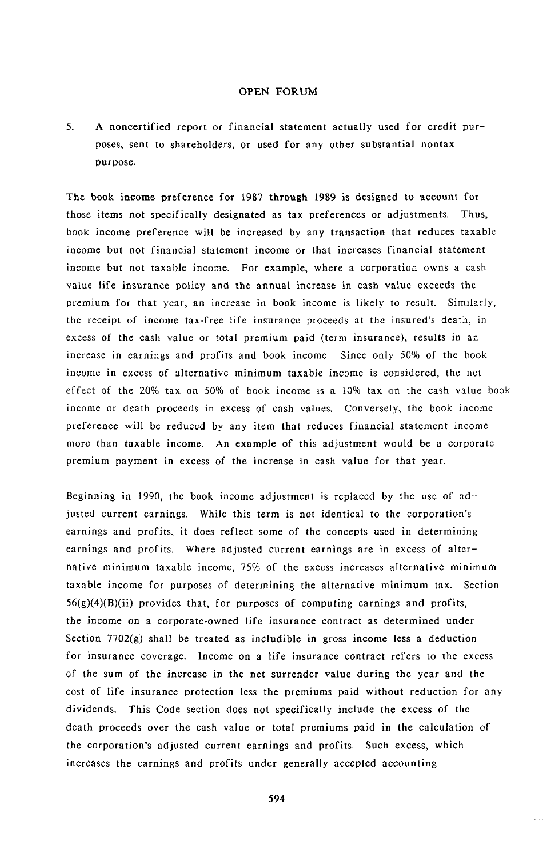5**.** A noncertified rep**o**r**t** or f**i**nanc**i**al statement actually used for credit purposes, sent to shareholders, or used for any other substantial nontax purpose.

The book income preference for 1987 through 1989 is designed to account for those items not specifically designated as tax preferences or adjustments. Thus, book income preference will be increased by any transaction that reduces taxable income but not financial statement income or that increases financial statement income but not taxable income. For example, where a corporation owns a cash value life insurance policy and the annual increase in cash value exceeds the premium for t*h*at year, an increase in book income is likely to result. Similarly, the receipt of income tax-free life insurance proceeds at the insured's death, in excess of the cash value or total premium paid (term insurance), results in an increase in earnings and profits and book income. Since only 50% of the book income in excess of alternative minimum taxable income is considered, the net effect of the 20% tax on 50% of book income is a 10% tax on the cash value book income or death proceeds in excess of cash values. Conversely, the book income preference will be reduced by any item that reduces financial statement income more than taxable income. An example of this adjustment would be a corporate premium payment in excess of the increase in cash value for that year.

Beginning in 1990, the book income adjustment is replaced by the use of adjusted current earnings. While this term is not identical to the corporation's earnings and profits, it does reflect some of the concepts used in determining earnings and profits. Where adjusted current earnings are in excess of alternative minimum taxable income, 75% of the excess increases alternative minimum taxable income for purposes of determining the alternative minimum tax. Section  $56(g)(4)(B)(ii)$  provides that, for purposes of computing earnings and profits, the income on a corporate-owned life insurance contract as determined under Section 7702(g) shall be treated as includible in gross income less a deduction for insurance coverage. Income on a life insurance contract refers to the excess of the sum of the increase in the net surrender value during the year and the cost of life insurance protection less the premiums paid without reduction for any dividends. This Code section does n*o*t specifically include the excess *o*f the death proceeds over the cash value or total premiums paid in the calculation of the corporation's adjusted current earnings and profits. Such excess, which increases the earnings and profits under generally accepted accounting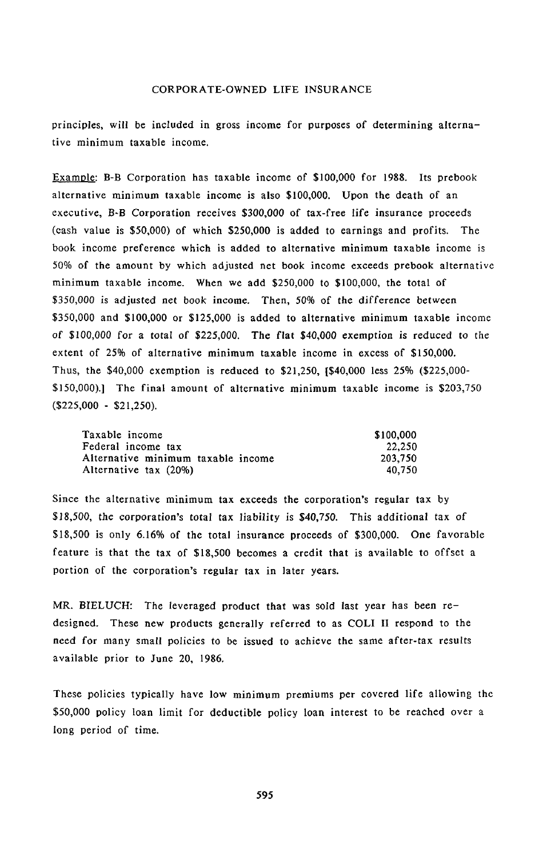principles**,** wi**l**l *b*e i**n**clud**e**d **i**n gross i**nc**om*e* for purposes **o**f determining a**l***t***e**r**n**ative minimum taxa*b*le in**c**om**e**.

Exampl**e:** B**-**B Corporation has taxable income of \$100*,*00**0** for 1988. Its pre*b*ook alt**e**rnative minimum taxa*b*le income **i**s **a**lso \$100,000. Upon the d**e**ath of **a**n execut**i**ve, B**-**B *C*orpora*t*ion rec**ei**v**e**s \$30*0*,0**00** of tax**-**free **l**if**e** i**n**suran**ce** pro*c***ee**ds (cash valu**e** is \$50,000) of whi**c**h **\$**250,000 is added to *e*arnings and profits. The book inc**o**me pr**e**fer**e**n**ce** w**h**i**c**h is add**e**d to alt**er**nativ**e mi**nim**um** taxa*b*le **i**ncome is 50% of the amount *b***y** whi**c**h adjusted net book incom**e ex**c**e**eds pr**e**book alter**n**at**i**v**e** m**i**n**i**m**u**m taxabl**e** income. Wh**e**n w**e** add \$250,000 to \$100,000, the tot**a**l of \$35*0*,*0*0*0* is adjusted net *b*ook income. *T*hen, 50*%* of the difference bet*w*een \$350,000 and \$100,000 or \$125,000 is added to alternative minimum taxable income *o*f *\$10*0,*000* for a t*ot*al of \$*22*5,*00*0. The fla*t* \$*40*,0*0*0 exemption is reduced to the extent of 25% of alternative minimum taxable income in excess of \$150,000. Thus, the \$40,000 exemption is reduced to \$21,250, [\$40,000 less 25% (\$225,000- \$150,000).] The final amount of alternative minimum taxable income is \$203,750 (\$225,000 - \$21,250).

| Taxable income                     | \$100,000 |
|------------------------------------|-----------|
| Federal income tax                 | 22.250    |
| Alternative minimum taxable income | 203.750   |
| Alternative tax (20%)              | 40.750    |

Since the alternative minimum tax exceeds the corporation's regular tax by \$18,500, the c*o*rp*o*ration's total tax liability is \$4*0*,750. This additional tax *o*f \$18,500 is only 6.16% of the total insurance proceeds of \$300,000. One favorable feature is that the tax of \$18,500 becomes a credit that is available to offset a portion of the corporation's regular tax in later years.

M*R*. BI*E*L*U*CH: *T*he leveraged product that was sold last year has been redesigned. These new products generally referred to as COLI II respond to the need for many small policies to be issued to achieve the same after-tax results available prior to June 20, 1986.

These policies typically have low *m*inimum premiums per covered life allowing thc \$50,000 policy loan limit for deductible policy loan interest to be reached over a long period of time.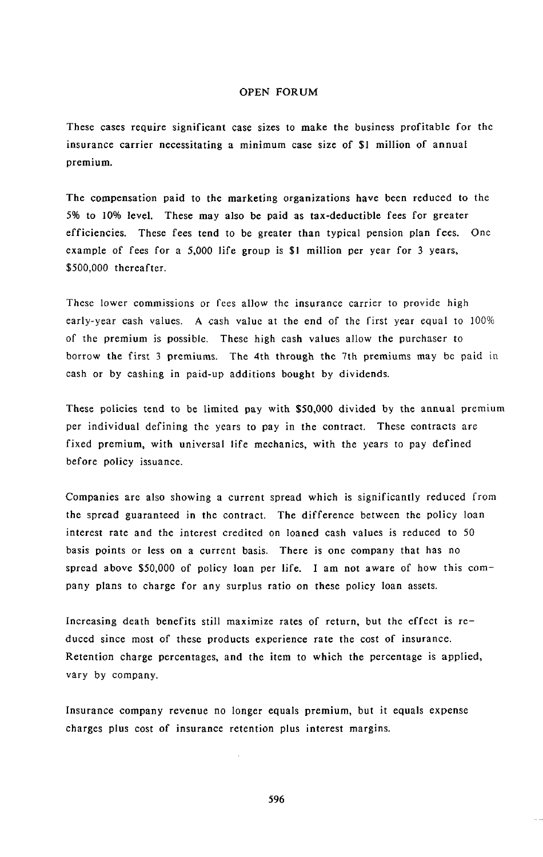These cases require sign**i**f**i**cant case sizes to make the business profitable for the insurance carrier necessitating a minimum case size of \$1 million of annual premium.

The com**p**e**n**s**a**t**i**o**n pa**id t**o** the **m**arketing **o**rga**ni**z**a**t**ion**s have been reduced to the 5% to 10% level. These may also be paid as tax-deductible fees for greater efficiencies. These fees te**n**d to be greater than typical pension plan fees. *O*ne example of fees for a 5,000 life grou**p** is \$1 million per year for 3 years, \$500,000 thereafter.

These l*o*wer commissions or fees allow the insu**r**ance carrier to provide high early-year cash values. A cash value at the end of the first year equal to 100% of the premium is possible. These high cash values allow the purchaser to borrow the first 3 premiums. The 4th through the 7th premiums may be paid in cash or by cashing in paid-up additions bought by dividends.

These policies tend to be limited pay with \$50,000 divided by the annual premium per individual defining the years to pay in the contract. These contracts are fixed premium, with universal life mechanics, with the years to pay defined before policy issuance.

Companies are also showing a current spread which is significantly reduced from the spread guaranteed in the contract. The difference between the policy loan interest rate and the interest credited on loaned cash values is reduced to 50 basis points or less on a current basis. There is one company that has no spread above \$50,000 of policy loan per life. I am not aware of how this c*o*mpany plans to charge for any surplus ratio on these policy loan assets.

Increasing death benefits still maximize rates of return, but the effect is reduced since most of these products experience rate the cost of insurance. Retenti*o*n charge percentages, and the item to which the percentage is applied, vary by company.

Insurance company revenue no longer equals premium, but it equals expense charges plus cost of insurance retention plus interest margins.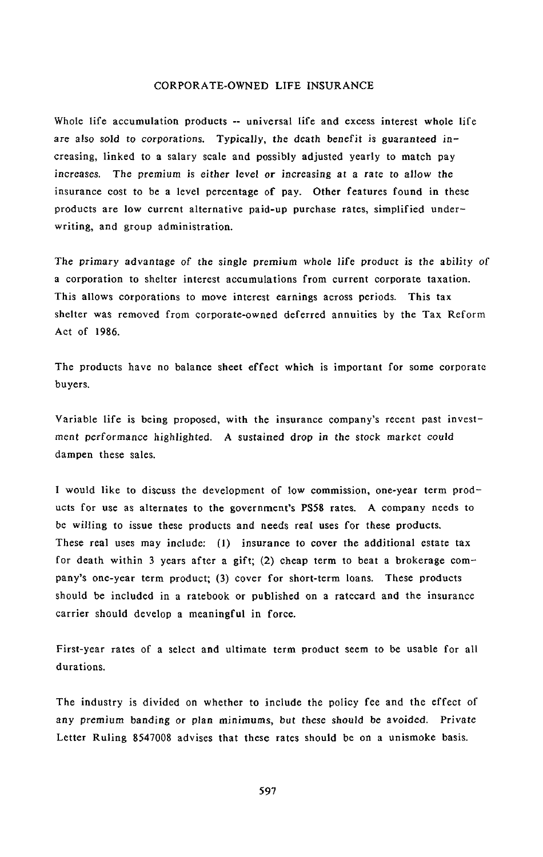Whole life accumulation **p**roducts -**-** uni**v**e**r**sal life and excess in**t**e**r**est **w**hole **l**ife are als*o* s*o*ld t*o* c*o*rp*o*ratio**n**s. Typically, the death be**n**efit is guaranteed i**n**creasing, linked to a salary scale and p*o*ssibly adjusted yearly to match pay i**n**creases. The premium is ei*t*her level *o*r i**n**creasi**n**g at **a** rate to allow the insurance cost to be a level percentage of **p**ay. Other features found in these products are low current alternative paid-up purchase rates, simplified underwriting, and group administration.

The p**r**ima**r**y **a**d**va***nt*age *o*f the si*n*gle p**r**e**m**i*u*m *w*h*o*le life **p**r**odu**c**t** is the **a**bilit**y** of a cor**p**oration to shelter in**t**erest accumulations from current cor**p**orate taxation. This allows cor**p**orations to move intere**s**t earnings across **p**eriods. This tax shelter was removed from **c**or**p**orate-owned deferred annuities by the Tax Reform Act of 1986.

The **p**roducts have **n**o balance **s**heet effect which is im**p**ortant for some corporate buyers.

Variable life is bei**n**g **p**ro**p**ose**d**, w**i**th the i**n**surance com**p**any's recent past investment performance highlighted. *A* sus*t*ained dr*o*p in the st*o*ck market c*o*uld dampen these sales.

I would like to discuss the development of low commission, o**n**e-year term produc**t**s for use as altern**a**tes to the government's PS58 rates. A company needs to be willing to issue these products and needs real uses for these **p**roducts**.** These real uses may include: (1) insurance to cover the additional estate tax for deat**h** within 3 years after a gift; (2) cheap term to beat a brokerage company's one-year term product; (3) cover for s**h**ort-term loans. These **p**roducts should be included in a ratebook or published on a ratecard and the insurance carrier should develop a meaningful in force.

First-year rates of a select and ultimate term product seem to be usable for all durations.

The indus**t**ry is divided on whe**t**her to include the policy fee and the effect of any premium banding or pla**n** minimums, but these sh*o*uld be avoided. Private Letter Ruling 8547008 advises that these rates should be on a unismoke basis.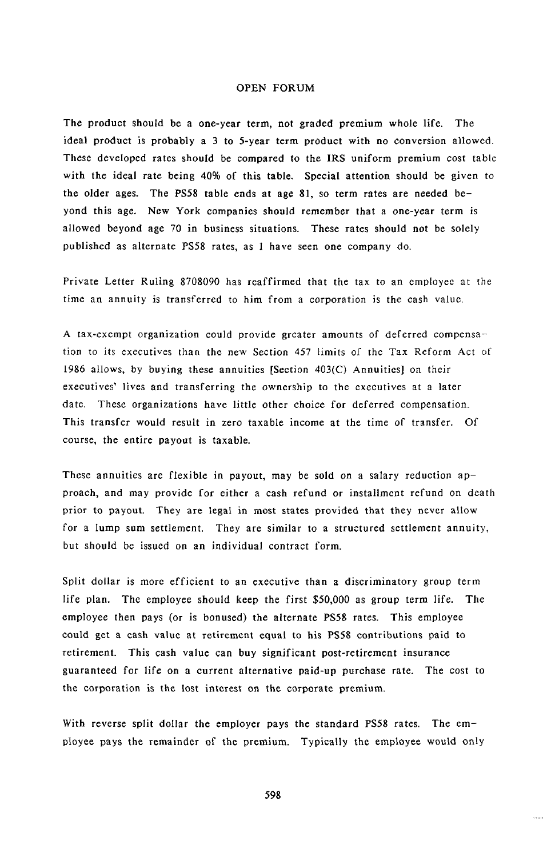Th**e p**r**o**d**uc**t **s**h**ou**l**d** be a **on**e**-**year ter**m**, not graded premium whole life. The ideal **p**roduct is **p**robably a 3 to 5-year term **p**roduct with no conversion allowed. These developed rates should be com**p**ared to the IRS uniform **p**remium cost table with the ideal rate being 40% of this table. Special attention should be given to the older ages. The PS58 table ends at age 81, so term rates are needed beyond this age. New York com**p**anies should remember that a one-year term is allowed beyond age 70 in business situations. These rates should not be solely published as alternate PS58 rates, as I have seen one company do.

Private Le**tt**er Ruling 8708090 has reaffirmed that the tax to an employee at the time an annuity is transferred to him from a corporation is the cash value,

A tax-exempt organization could provide greater amounts of deferred compensation to its executives than the new Section 457 limits of the Tax Reform *Ac*t of 1986 allows, by buying these annuities [Section 403(C) Annuities] on their exe**c**utives' lives and transferring the ownership to the executives at a later date. These organizations have little other choice for deferred compensation. This transfer would result in zero taxable income at the time of transfer. Of course, the entire payout is taxable.

These annui**t**ies are flexible in payout, may be sold *o*n a salary red**u**ction approach, and may provide for either a cash refund or installment refund on death prior to payout. They are legal in most states **p**rovided that they never allow for a lump sum settlement. They are similar to a structured settlement annuity, but should be issued on an individual contract form.

Split dollar is more efficient to an executive than a discriminatory group term life plan. The employee sh*o*uld keep the first **\$**50,000 as group term life. The employee then pays (or is bonused) the alternate PS58 rates. This employee could get a cash value at retirement equal to his PS58 contributions paid to retirement. This cash value can buy significant post-retirement insurance guaranteed for life on a current alternative paid-up purchase rate. The cost to the corporation is the lost interest on the corporate premium.

Wi**th** reverse spli**t** dollar t**h**e e**m**ployer pays the sta**n**dard PS58 rates. The employee pays the remainder of the premium. Typically the employee would only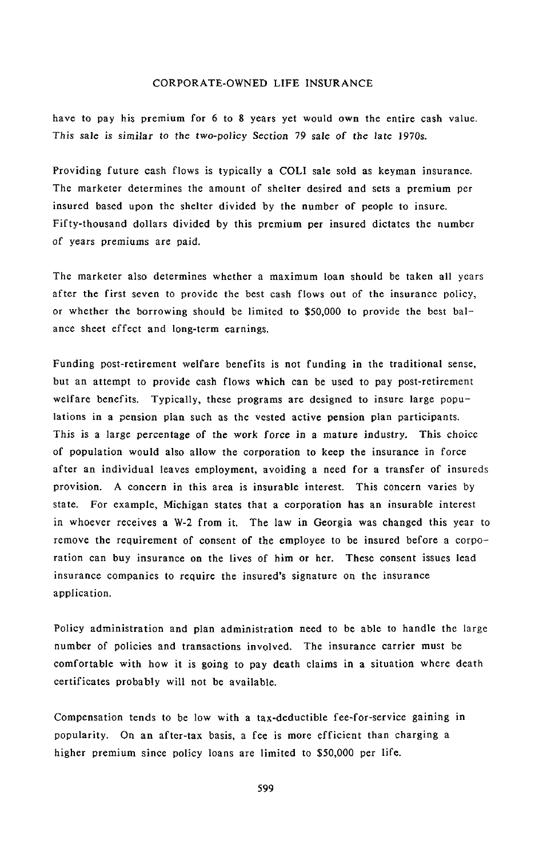ha**v**e t**o p**a**y h**is p**r**em**i**um **fo**r 6 **t**o 8 **y**ears yet w**ou**ld **ow**n the entire cash value. This sale is simi*l*ar t*o t*he tw*o*-p*o*licy Secti*on* 79 sale *o*f t**h**e lat**e** 1970s.

Providing future cash flows is typically a COLI sale sold as keyman insurance. The marketer determines the amount of shelter desired and sets a premium per insured based u**p**on the shelter divided by the number of **p**eople to insure. Fifty-thousand dollars divided by this premium per insured dictates the number of years premiums are paid.

The marketer also determines whether a maximum loan should be taken all years after the first seven to provide the best cash flows out of the insurance **p**olicy, or whether the borrowing should be limited to \$50,000 to **p**rovide the best balance sheet effect and long-term earnings.

Funding post-retirement welfare benefits is not funding in the traditional sense, but an attempt to provide cash flows which can be used to **p**ay post-retirement welfare benefits. Typically, these programs are designed to insure large populations in a pension **p**lan such as the vested active **p**ension **p**lan partici**p**ants. This is a large percentage of the work force in a mature industry. This choice of population would al**s**o allow the cor**p**oration to keep the insurance in force after an individual leaves employment, avoidi**n**g a need for a transfer of insureds provision. A concern in this area is insurable interest. This concern varies by state. For example, Michigan states that a corporation has an insurable interest i**n** whoever receives a W-2 from it. The law in Georgia was changed this year to remove the requirement of consent of the employee to be insured before a corporation can buy insurance on the lives of him or her. These consent issues lead insurance companies to require the insured's signature on the insurance ap**p**lication.

Policy administration and plan administration need to be able to handle the large number of policies and transactions involved. The insurance carrier must be comfortable with how it is going to pay death claims in a situation where death certificates probably will not be available.

Compensation tends to be low with a tax-deductible fee-for-service gaining in popularity. On an after-tax basis, a fee is more efficient than charging a higher premium since policy loans are limited to \$50,000 per life.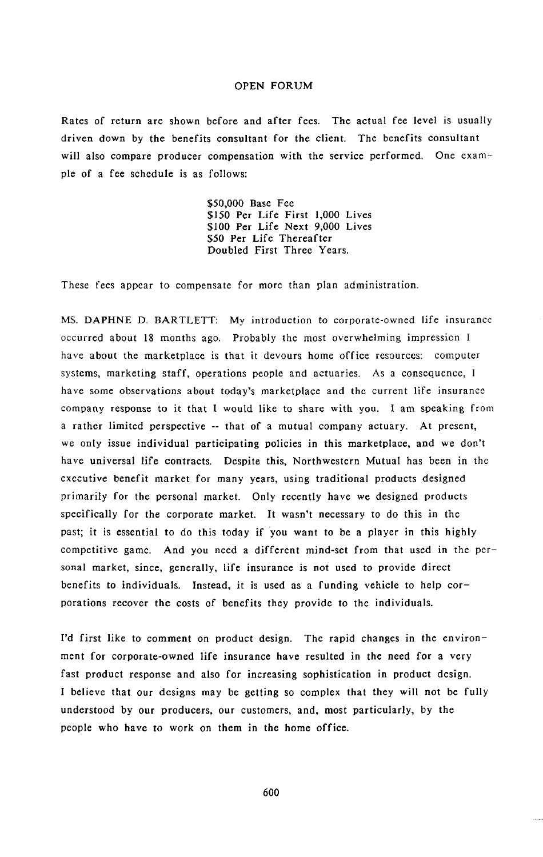Rates of return are shown before and after fees. Th*e* actual fee level is usually driven down by the benefits *c*onsultant for the client. The benefits consultant will also *c*ompare producer *c*ompensation with the service performed. One example of a fee schedule is as follows:

> \$50,000 Bas**e** F**ee** \$150 P**e**r Lif**e** First 1,000 Liv**e**s \$100 P**e**r Lif**e** Next *9,*000 Liv**c**s \$50 P**e**r Lif**e** Th**e**r**e**aft**e**r Doubl**e**d First Thr**ee** Y**e**ars.

Th**e**s**e** f**ee**s app**e**ar to comp**e**nsat**e** for mor**e** than p**l**an administration.

MS. DAPHNE D. BARTLETT: My introduction to corporat**e**-own**e**d lif**e** insuranc**e** occurr**e**d about 18 months ago. Probably th**e** most ov**e**rwh**e**lming impr**e**ssion I hav**e** about the mark**e**tplac**e** is that it d**e**vours hom**e** offic**e** resour**c**es: comput**e**r syst**e**ms, mark**e**ting staff, op**e**rations p**e***o*pl**e** and actuari**e**s. As a **c**ons**e**qu**e**n**ce**, 1 hav**e** som**e** obs**e**rvations about today's mark**e**tpla**ce** and th**e c**urr**e**nt lif**e** insurance **c**ompan**y** r**e**spons**e** to it that I woutd lik**e** to shar**e** with you. I am sp**e**aking from a rath**e**r limit**e**d p**e**rsp**ec**tiv**e** -- that of a mutual **c**ompany a**c**tuary. At pr**e**s**e**nt, w**c** only issu**e** individual parti**c**ipating poli**c**i**e**s in this mark**e**tpla**ce**, and w**e** don*'*t hav**c** univ**e**rsal lif**e c**ontra**c**ts. D**e**spit**e** this, Northw**e**st**e**rn Mutual has b**ee**n in the **e**x**ec**utiv*e* b**c**n**c**fit mark**e**t for many y**e**ars, using traditional produ**c**ts d**e**sign**e**d primarily for th**e** p**e**rsonal mark**e**t. Only r**ece**ntly hav**e** w**c** d**e**sign**e**d produ**c**ts sp**ec**ifi**c**ally for th*e* **c**orporat*e* mark**e**t. It wasn't n**ece**ssary to do this in th**e** past; it is **e**ss**e**ntial to do this today if you want to b**e** a play**e**r in this highly **c**omp**c**titiv**c** gam**e**. And you n**ee**d a diff**e**r**e**nt mind-s**e**t from that us**e**d in th**e** p**e**rsonal mark**e**t, sin**ce**, g**e**n**e**rally, lif**e** insuran**ce** is not us**c**d t*o* provid**e** dir**ec**t b**e**n**e**fits to individuals. Inst**e**ad, it is us**e**d as a funding v**e**hi**c**l**e** to h**e**lp **c**orporations r**e**cov**e**r th**e c**osts of b**e**n**e**fits th**e**y provid**e** to th**c** individuals.

I*'*d first lik**e** to **c**omm**e**nt on produ**c**t d**e**sign. Th**e** rapid **c**hang**e**s in th**e e**nvironm**e**nt fo**r c**orporat**e**-own**e**d lif**e** insuran*c***e** hav**e** r**e**sult**e**d in the n**cc**d for a v**e**ry fast produ**c**t r**e**spons**e** and also for in**c**r**e**asing sophisti**c**ation in product d**e**sign. I b**e**li**e**v**e** that our d**e**signs may b**c** g**e**tting so **c**ompl**e**x that th**e**y will not b**c** fully und**e**rstood by our produc**e**rs*,* our **c**ustom**e**rs, and, most parti**c**ularly, by th**e** p**e**opl**e** who hav**e** to work on th**e**m in th**e** hom**e** offi**ce**.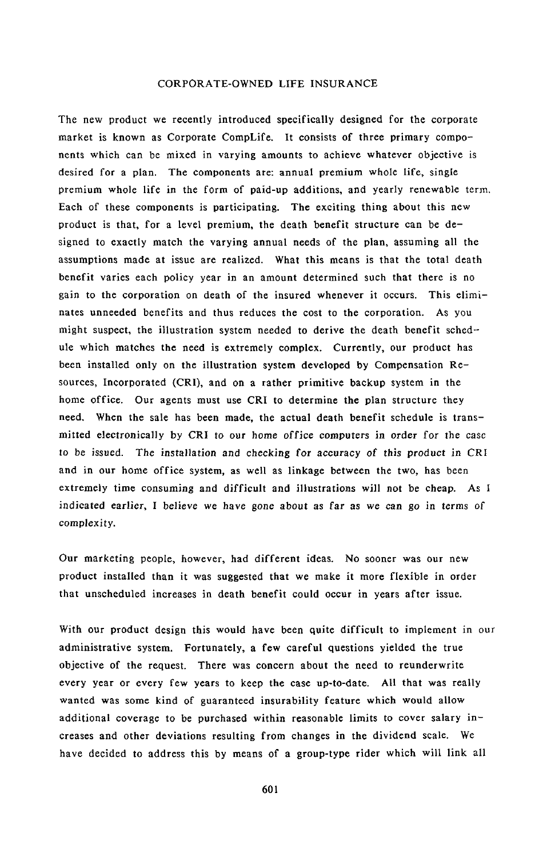The new product we recently introduced specifically designed for the corporate market is known as Corporate CompLife. It consists of three primary components which can be mixed in varying amounts to achieve whatever objective is desired for a plan. The components are: annual premium whole life, single premium whole life in the form of paid-up additions, and yearly renewable term. Each of these components is participating. The exciting thing about this new product is that, for a level premium, the death benefit structure can be designed to exactly match the varying annual needs of the plan, assuming all the assumptions made at issue are realized. What this means is that the total death benefit varies each policy year in an amount determined such that there is no gain to the corporation on death of the insured whenever it occurs. This eliminates unneeded benefits and thus reduces the cost to the corporation. AS you might suspect, the illustration system needed to derive the death benefit schedule which matches the need is extremely complex. Currently, our product has been installed only on the illustration system developed by Compensation Resources, Incorporated (CRI), and on a rather primitive backup system in the home office. Our agents must use CRI to determine the plan structure they need. When the sale has been made, the actual death benefit schedule is transmitted electronically by CRI t*o* our h*o*me *o*ffice compu*t*ers in order for the case to be issued. The installati*o*n and *c*hecking for a*c*curacy of this pr*o*duct in *C*RI and in our home office system, as well as linkage between the two, has been extremely time consuming and difficult and illustrations will not be cheap. *A*s I indicated earlier, I believe we have g*o*ne ab*o*ut as far as we *c*an g*o* in terms *o*f complexity.

Our marketing people, however, had different ideas. No sooner was our new product installed than it was suggested that we make it more flexible in order that unscheduled increases in death benefit could occur in years after issue.

With our product design this would have been quite difficult to implement in our administrative system. Fortunately, a few careful questions yielded the true objective of the request. There was concern about the need to reunderwrite every year or every few years to keep the case up-to-date. All that was really wanted was some kind of guaranteed insurability feature which would allow additional coverage to be purchased within reasonable limits to cover salary increases and other deviations resulting from changes in the dividend scale. We have decided to address this by means of a group-type rider which will link all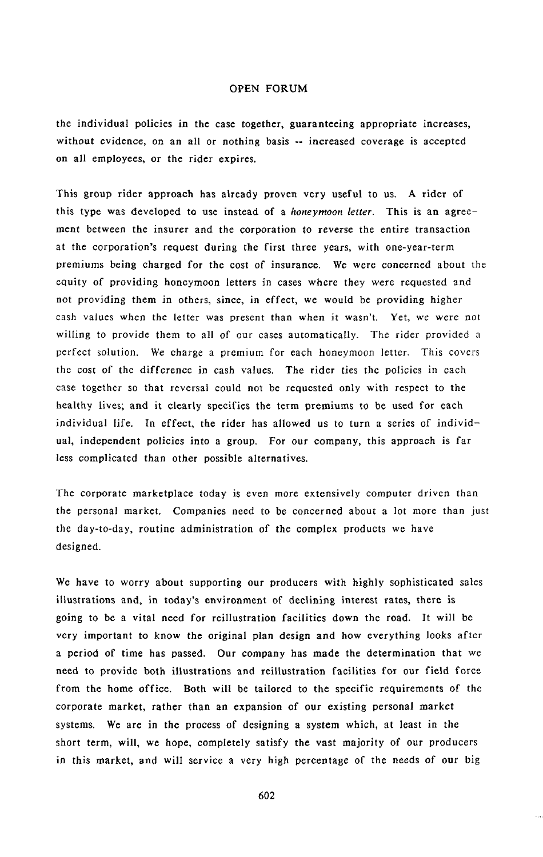the individual policies in **t**he case **t**oge**t**her, gua**r**an**t**eeing appr*o*priate increases, with*o*ut evidence, o**n** an all or nothing *b*asis -**-** increased coverage is accepted on all employees, or the rider expires.

T**h**is group r**i**der appr**o**ach **h**as al**r**eady pr**o**ven very useful **t**o us. A r**i**der of this type **w**as devel**o**ped t**o** us**e** instead **o**f a *honeymoon letter*. This is an agreement between the insurer and the c**o**rporation t**o** reverse the entire transaction at the corporati*o*n's request during the first three years, with **o**ne-year-term premiums being charged for the cost of insurance. We were concerned about the equity of providing honeymoon letters in cases where they we**r**e requested and not providin**g** them in others, since, in effect, we would be providing higher cash values when the letter was present than when i**t** wasn't. Yet, we were not willing t**o** provide them to all of our cases automatically. The rider provided a perfect soluti**o**n. We ch**a**rge a premium for each honeymo**o**n letter. This c**o**vers the cost of the differe**n**ce in cash values. The rider ties the policies in each case t**o**gether s**o** tha**t** reversal could not be requested **o**nly with respect to t**h**e healthy l**i**ves; and it clearly s**p**ecifies the term premiums to be used for each individual life. In effect, the rider has allowed us to turn a series of individual, independent policies into a group. For our company, this approach is far less complicated than other possible alternatives.

The corporate marketplace today is eve**n** more extensively computer d**r**iven th**a**n the personal market. *Co*mpanies need to be co**n**cerned about a lot more than just the day-to-day, routine administration of the complex products we have designed.

We have to worry about supporting our pro**d**ucers with highly sophisticated sales illustrations and, in today's environment of declining interest rates, there is going to be a vital need for reillustration facilities down the road. It will be very important to know the original plan design and how everything looks after a period of time has passed. Our company has made the determinati*o*n that we need to provide both illustrations and reillustration facilities for our field force from the home office. Both will be tailored to the specific requirements of the corporate market, rather than an expansion of our existing personal market systems. We are in the process of designing a system which, at least in the short term, will, we hope, completely satisfy the vast majority of our producers in this market, and will service a very high percentage of the needs *o*f our big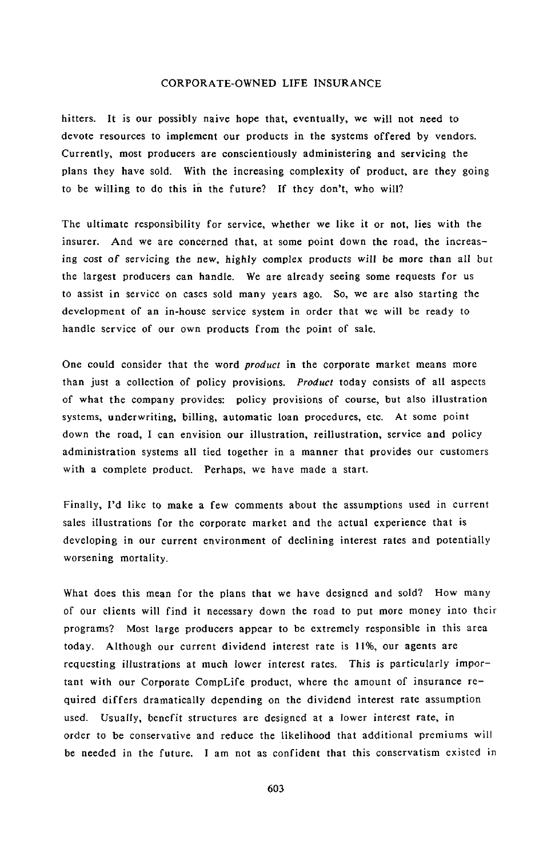h**i**tters**.** It **i**s **o**ur p**o**ss**i**b**ly** na**iv**e h**o**pe **t**hat, e**v**en**t**ua**l**l**y**, we will not need to devote resources to implement our products in the systems offered b**y** vendors. Currentl**y**, most producers are conscientiou**s**ly administering and servicing the plans they have sold. With the increasing complexity of product, are they going to be willing to do this in the future**?** If they don't, who will**?**

The ultimate responsibility for service, whether we like it or not, lies with the insurer. And we are concerned that, at some point down the road, the increasing c*o*st of servicing *t*he new, highly complex products will be m*o*re than all but the largest producers can handle. We are already seeing some requests for us to assist in service on cases sold many years ago. So, we are also starting the development of an in-house service system in order that we will be ready to handle service of our own products from the point of sale.

One could consider that the word *product* in the corporate market means more than just a collection of policy provisions. *Product* today consists of all aspects of what the company provides: policy provisions of course, but also illustration systems, underwriting, billing, automatic loan procedures, etc. At some point down the road, I can envision our illustration, reillustration, service and policy administration systems all tied together in a manner that provides our customers with a complete product. Perhaps, we have made a start.

Finally, I'd like to make a few comments about the assumptions used in current sales illustrations for the corporate market and the actual experience that is developing in our current environment of declining interest rates and potentially worsening mortality.

What does this mean for the plans that we have designed and sold? How many of our clients will find it necessary down the road to put more money into their programs? Most large producers appear to be extremely responsible in this area today. Although our current dividend interest rate is 11%, our agents are requesting illustrations at much lower interest rates. This is particularly important with our Corporate CompLife product, where the amount of insurance required differs dramatically depending on the dividend interest rate assumption used. Usually, benefit structures are designed at a lower interest rate, in order to be conservative and reduce the likelihood that additional **p**remiums will be needed in the future. I am not as confident that this conservatism existed in